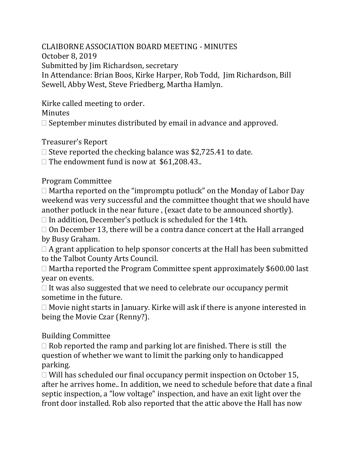CLAIBORNE ASSOCIATION BOARD MEETING - MINUTES October 8, 2019 Submitted by Jim Richardson, secretary In Attendance: Brian Boos, Kirke Harper, Rob Todd, Jim Richardson, Bill Sewell, Abby West, Steve Friedberg, Martha Hamlyn.

Kirke called meeting to order.

Minutes

 $\Box$  September minutes distributed by email in advance and approved.

Treasurer's Report

 $\Box$  Steve reported the checking balance was \$2,725.41 to date.

 $\Box$  The endowment fund is now at \$61,208.43..

Program Committee

 $\Box$  Martha reported on the "impromptu potluck" on the Monday of Labor Day weekend was very successful and the committee thought that we should have another potluck in the near future , (exact date to be announced shortly).

 $\Box$  In addition, December's potluck is scheduled for the 14th.

 $\Box$  On December 13, there will be a contra dance concert at the Hall arranged by Busy Graham.

 $\Box$  A grant application to help sponsor concerts at the Hall has been submitted to the Talbot County Arts Council.

 $\Box$  Martha reported the Program Committee spent approximately \$600.00 last year on events.

 $\Box$  It was also suggested that we need to celebrate our occupancy permit sometime in the future.

 $\Box$  Movie night starts in January. Kirke will ask if there is anyone interested in being the Movie Czar (Renny?).

Building Committee

 $\Box$  Rob reported the ramp and parking lot are finished. There is still the question of whether we want to limit the parking only to handicapped parking.

 $\Box$  Will has scheduled our final occupancy permit inspection on October 15, after he arrives home.. In addition, we need to schedule before that date a final septic inspection, a "low voltage" inspection, and have an exit light over the front door installed. Rob also reported that the attic above the Hall has now